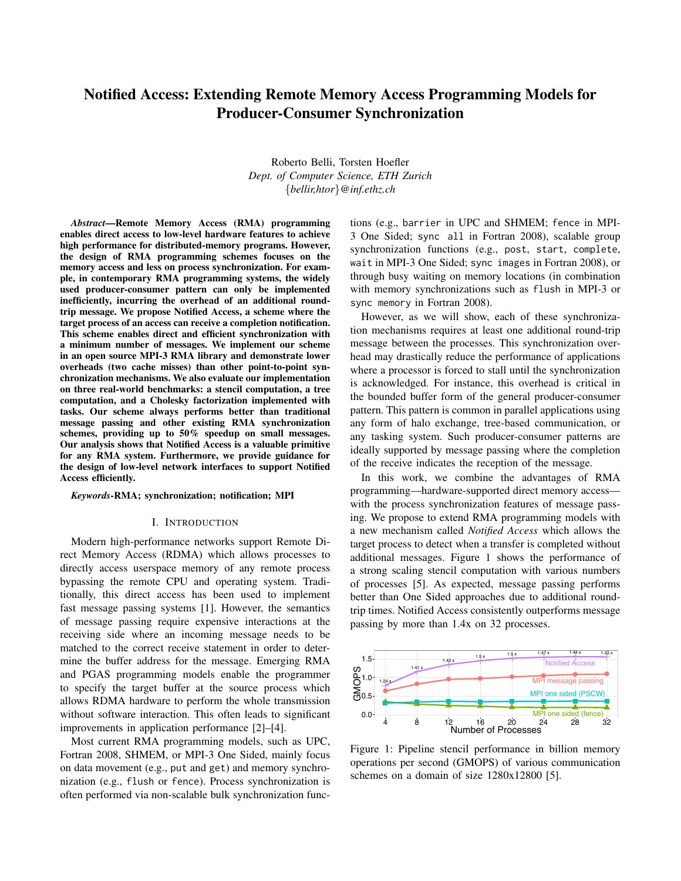# Notified Access: Extending Remote Memory Access Programming Models for Producer-Consumer Synchronization

Roberto Belli, Torsten Hoefler *Dept. of Computer Science, ETH Zurich {bellir,htor}@inf.ethz.ch*

*Abstract*—Remote Memory Access (RMA) programming enables direct access to low-level hardware features to achieve high performance for distributed-memory programs. However, the design of RMA programming schemes focuses on the memory access and less on process synchronization. For example, in contemporary RMA programming systems, the widely used producer-consumer pattern can only be implemented inefficiently, incurring the overhead of an additional roundtrip message. We propose Notified Access, a scheme where the target process of an access can receive a completion notification. This scheme enables direct and efficient synchronization with a minimum number of messages. We implement our scheme in an open source MPI-3 RMA library and demonstrate lower overheads (two cache misses) than other point-to-point synchronization mechanisms. We also evaluate our implementation on three real-world benchmarks: a stencil computation, a tree computation, and a Cholesky factorization implemented with tasks. Our scheme always performs better than traditional message passing and other existing RMA synchronization schemes, providing up to 50% speedup on small messages. Our analysis shows that Notified Access is a valuable primitive for any RMA system. Furthermore, we provide guidance for the design of low-level network interfaces to support Notified Access efficiently.

#### *Keywords*-RMA; synchronization; notification; MPI

#### I. INTRODUCTION

Modern high-performance networks support Remote Direct Memory Access (RDMA) which allows processes to directly access userspace memory of any remote process bypassing the remote CPU and operating system. Traditionally, this direct access has been used to implement fast message passing systems [1]. However, the semantics of message passing require expensive interactions at the receiving side where an incoming message needs to be matched to the correct receive statement in order to determine the buffer address for the message. Emerging RMA and PGAS programming models enable the programmer to specify the target buffer at the source process which allows RDMA hardware to perform the whole transmission without software interaction. This often leads to significant improvements in application performance [2]–[4].

Most current RMA programming models, such as UPC, Fortran 2008, SHMEM, or MPI-3 One Sided, mainly focus on data movement (e.g., put and get) and memory synchronization (e.g., flush or fence). Process synchronization is often performed via non-scalable bulk synchronization functions (e.g., barrier in UPC and SHMEM; fence in MPI-3 One Sided; sync all in Fortran 2008), scalable group synchronization functions (e.g., post, start, complete, wait in MPI-3 One Sided; sync images in Fortran 2008), or through busy waiting on memory locations (in combination with memory synchronizations such as flush in MPI-3 or sync memory in Fortran 2008).

However, as we will show, each of these synchronization mechanisms requires at least one additional round-trip message between the processes. This synchronization overhead may drastically reduce the performance of applications where a processor is forced to stall until the synchronization is acknowledged. For instance, this overhead is critical in the bounded buffer form of the general producer-consumer pattern. This pattern is common in parallel applications using any form of halo exchange, tree-based communication, or any tasking system. Such producer-consumer patterns are ideally supported by message passing where the completion of the receive indicates the reception of the message.

In this work, we combine the advantages of RMA programming—hardware-supported direct memory access with the process synchronization features of message passing. We propose to extend RMA programming models with a new mechanism called *Notified Access* which allows the target process to detect when a transfer is completed without additional messages. Figure 1 shows the performance of a strong scaling stencil computation with various numbers of processes [5]. As expected, message passing performs better than One Sided approaches due to additional roundtrip times. Notified Access consistently outperforms message passing by more than 1.4x on 32 processes.



Figure 1: Pipeline stencil performance in billion memory operations per second (GMOPS) of various communication schemes on a domain of size 1280x12800 [5].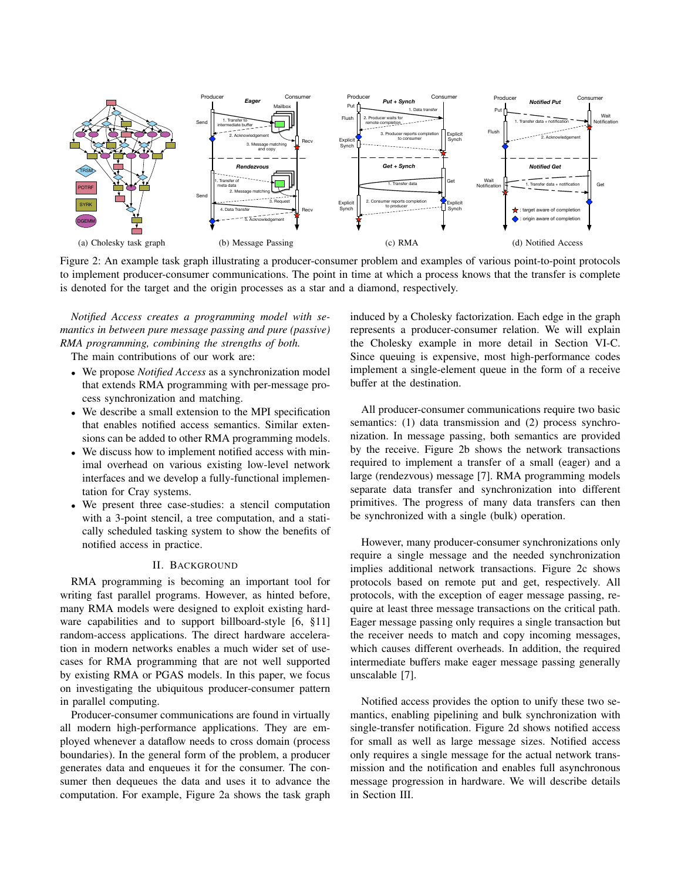

Figure 2: An example task graph illustrating a producer-consumer problem and examples of various point-to-point protocols to implement producer-consumer communications. The point in time at which a process knows that the transfer is complete is denoted for the target and the origin processes as a star and a diamond, respectively.

*Notified Access creates a programming model with semantics in between pure message passing and pure (passive) RMA programming, combining the strengths of both.*

The main contributions of our work are:

- *•* We propose *Notified Access* as a synchronization model that extends RMA programming with per-message process synchronization and matching.
- *•* We describe a small extension to the MPI specification that enables notified access semantics. Similar extensions can be added to other RMA programming models.
- We discuss how to implement notified access with minimal overhead on various existing low-level network interfaces and we develop a fully-functional implementation for Cray systems.
- We present three case-studies: a stencil computation with a 3-point stencil, a tree computation, and a statically scheduled tasking system to show the benefits of notified access in practice.

### II. BACKGROUND

RMA programming is becoming an important tool for writing fast parallel programs. However, as hinted before, many RMA models were designed to exploit existing hardware capabilities and to support billboard-style [6, §11] random-access applications. The direct hardware acceleration in modern networks enables a much wider set of usecases for RMA programming that are not well supported by existing RMA or PGAS models. In this paper, we focus on investigating the ubiquitous producer-consumer pattern in parallel computing.

Producer-consumer communications are found in virtually all modern high-performance applications. They are employed whenever a dataflow needs to cross domain (process boundaries). In the general form of the problem, a producer generates data and enqueues it for the consumer. The consumer then dequeues the data and uses it to advance the computation. For example, Figure 2a shows the task graph induced by a Cholesky factorization. Each edge in the graph represents a producer-consumer relation. We will explain the Cholesky example in more detail in Section VI-C. Since queuing is expensive, most high-performance codes implement a single-element queue in the form of a receive buffer at the destination.

All producer-consumer communications require two basic semantics: (1) data transmission and (2) process synchronization. In message passing, both semantics are provided by the receive. Figure 2b shows the network transactions required to implement a transfer of a small (eager) and a large (rendezvous) message [7]. RMA programming models separate data transfer and synchronization into different primitives. The progress of many data transfers can then be synchronized with a single (bulk) operation.

However, many producer-consumer synchronizations only require a single message and the needed synchronization implies additional network transactions. Figure 2c shows protocols based on remote put and get, respectively. All protocols, with the exception of eager message passing, require at least three message transactions on the critical path. Eager message passing only requires a single transaction but the receiver needs to match and copy incoming messages, which causes different overheads. In addition, the required intermediate buffers make eager message passing generally unscalable [7].

Notified access provides the option to unify these two semantics, enabling pipelining and bulk synchronization with single-transfer notification. Figure 2d shows notified access for small as well as large message sizes. Notified access only requires a single message for the actual network transmission and the notification and enables full asynchronous message progression in hardware. We will describe details in Section III.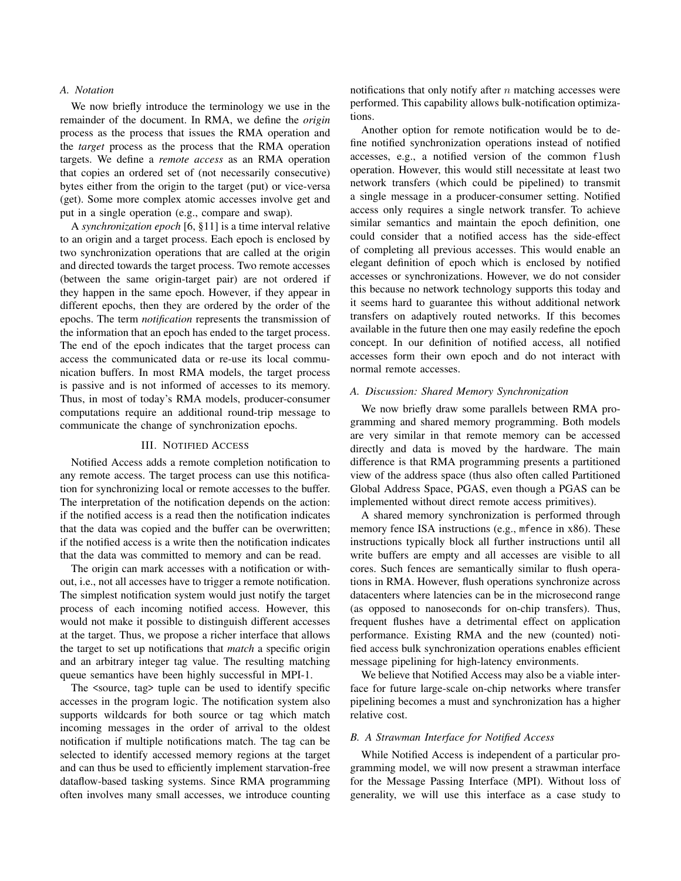# *A. Notation*

We now briefly introduce the terminology we use in the remainder of the document. In RMA, we define the *origin* process as the process that issues the RMA operation and the *target* process as the process that the RMA operation targets. We define a *remote access* as an RMA operation that copies an ordered set of (not necessarily consecutive) bytes either from the origin to the target (put) or vice-versa (get). Some more complex atomic accesses involve get and put in a single operation (e.g., compare and swap).

A *synchronization epoch* [6, §11] is a time interval relative to an origin and a target process. Each epoch is enclosed by two synchronization operations that are called at the origin and directed towards the target process. Two remote accesses (between the same origin-target pair) are not ordered if they happen in the same epoch. However, if they appear in different epochs, then they are ordered by the order of the epochs. The term *notification* represents the transmission of the information that an epoch has ended to the target process. The end of the epoch indicates that the target process can access the communicated data or re-use its local communication buffers. In most RMA models, the target process is passive and is not informed of accesses to its memory. Thus, in most of today's RMA models, producer-consumer computations require an additional round-trip message to communicate the change of synchronization epochs.

# III. NOTIFIED ACCESS

Notified Access adds a remote completion notification to any remote access. The target process can use this notification for synchronizing local or remote accesses to the buffer. The interpretation of the notification depends on the action: if the notified access is a read then the notification indicates that the data was copied and the buffer can be overwritten; if the notified access is a write then the notification indicates that the data was committed to memory and can be read.

The origin can mark accesses with a notification or without, i.e., not all accesses have to trigger a remote notification. The simplest notification system would just notify the target process of each incoming notified access. However, this would not make it possible to distinguish different accesses at the target. Thus, we propose a richer interface that allows the target to set up notifications that *match* a specific origin and an arbitrary integer tag value. The resulting matching queue semantics have been highly successful in MPI-1.

The <source, tag> tuple can be used to identify specific accesses in the program logic. The notification system also supports wildcards for both source or tag which match incoming messages in the order of arrival to the oldest notification if multiple notifications match. The tag can be selected to identify accessed memory regions at the target and can thus be used to efficiently implement starvation-free dataflow-based tasking systems. Since RMA programming often involves many small accesses, we introduce counting notifications that only notify after *n* matching accesses were performed. This capability allows bulk-notification optimizations.

Another option for remote notification would be to define notified synchronization operations instead of notified accesses, e.g., a notified version of the common flush operation. However, this would still necessitate at least two network transfers (which could be pipelined) to transmit a single message in a producer-consumer setting. Notified access only requires a single network transfer. To achieve similar semantics and maintain the epoch definition, one could consider that a notified access has the side-effect of completing all previous accesses. This would enable an elegant definition of epoch which is enclosed by notified accesses or synchronizations. However, we do not consider this because no network technology supports this today and it seems hard to guarantee this without additional network transfers on adaptively routed networks. If this becomes available in the future then one may easily redefine the epoch concept. In our definition of notified access, all notified accesses form their own epoch and do not interact with normal remote accesses.

# *A. Discussion: Shared Memory Synchronization*

We now briefly draw some parallels between RMA programming and shared memory programming. Both models are very similar in that remote memory can be accessed directly and data is moved by the hardware. The main difference is that RMA programming presents a partitioned view of the address space (thus also often called Partitioned Global Address Space, PGAS, even though a PGAS can be implemented without direct remote access primitives).

A shared memory synchronization is performed through memory fence ISA instructions (e.g., mfence in x86). These instructions typically block all further instructions until all write buffers are empty and all accesses are visible to all cores. Such fences are semantically similar to flush operations in RMA. However, flush operations synchronize across datacenters where latencies can be in the microsecond range (as opposed to nanoseconds for on-chip transfers). Thus, frequent flushes have a detrimental effect on application performance. Existing RMA and the new (counted) notified access bulk synchronization operations enables efficient message pipelining for high-latency environments.

We believe that Notified Access may also be a viable interface for future large-scale on-chip networks where transfer pipelining becomes a must and synchronization has a higher relative cost.

# *B. A Strawman Interface for Notified Access*

While Notified Access is independent of a particular programming model, we will now present a strawman interface for the Message Passing Interface (MPI). Without loss of generality, we will use this interface as a case study to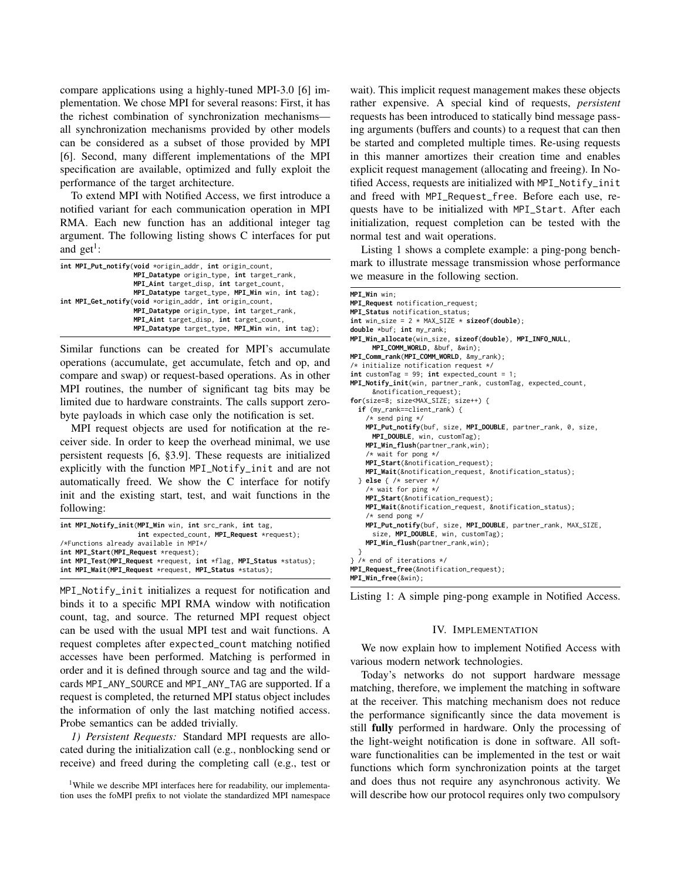compare applications using a highly-tuned MPI-3.0 [6] implementation. We chose MPI for several reasons: First, it has the richest combination of synchronization mechanisms all synchronization mechanisms provided by other models can be considered as a subset of those provided by MPI [6]. Second, many different implementations of the MPI specification are available, optimized and fully exploit the performance of the target architecture.

To extend MPI with Notified Access, we first introduce a notified variant for each communication operation in MPI RMA. Each new function has an additional integer tag argument. The following listing shows C interfaces for put and  $get^1$ :

| int MPI_Put_notify(void *origin_addr, int origin_count, |  |  |  |
|---------------------------------------------------------|--|--|--|
| MPI_Datatype origin_type, int target_rank,              |  |  |  |
| MPI_Aint target_disp, int target_count,                 |  |  |  |
| MPI_Datatype target_type, MPI_Win win, int tag);        |  |  |  |
| int MPI_Get_notify(void *origin_addr, int origin_count, |  |  |  |
|                                                         |  |  |  |
| MPI_Datatype origin_type, int target_rank,              |  |  |  |
| MPI_Aint target_disp, int target_count,                 |  |  |  |
| MPI_Datatype target_type, MPI_Win win, int tag);        |  |  |  |

Similar functions can be created for MPI's accumulate operations (accumulate, get accumulate, fetch and op, and compare and swap) or request-based operations. As in other MPI routines, the number of significant tag bits may be limited due to hardware constraints. The calls support zerobyte payloads in which case only the notification is set.

MPI request objects are used for notification at the receiver side. In order to keep the overhead minimal, we use persistent requests [6, §3.9]. These requests are initialized explicitly with the function MPI\_Notify\_init and are not automatically freed. We show the C interface for notify init and the existing start, test, and wait functions in the following:

```
int MPI_Notify_init(MPI_Win win, int src_rank, int tag,
                    int expected_count, MPI_Request *request);
/*Functions already available in MPI*/
int MPI_Start(MPI_Request *request);
int MPI_Test(MPI_Request *request, int *flag, MPI_Status *status);
int MPI_Wait(MPI_Request *request, MPI_Status *status);
```
MPI\_Notify\_init initializes a request for notification and binds it to a specific MPI RMA window with notification count, tag, and source. The returned MPI request object can be used with the usual MPI test and wait functions. A request completes after expected\_count matching notified accesses have been performed. Matching is performed in order and it is defined through source and tag and the wildcards MPI\_ANY\_SOURCE and MPI\_ANY\_TAG are supported. If a request is completed, the returned MPI status object includes the information of only the last matching notified access. Probe semantics can be added trivially.

*1) Persistent Requests:* Standard MPI requests are allocated during the initialization call (e.g., nonblocking send or receive) and freed during the completing call (e.g., test or

<sup>1</sup>While we describe MPI interfaces here for readability, our implementation uses the foMPI prefix to not violate the standardized MPI namespace wait). This implicit request management makes these objects rather expensive. A special kind of requests, *persistent* requests has been introduced to statically bind message passing arguments (buffers and counts) to a request that can then be started and completed multiple times. Re-using requests in this manner amortizes their creation time and enables explicit request management (allocating and freeing). In Notified Access, requests are initialized with MPI\_Notify\_init and freed with MPI\_Request\_free. Before each use, requests have to be initialized with MPI\_Start. After each initialization, request completion can be tested with the normal test and wait operations.

Listing 1 shows a complete example: a ping-pong benchmark to illustrate message transmission whose performance we measure in the following section.

MPI\_Win win; MPI\_Request\_notification\_request; MPI Status notification status: int win size =  $2 * MAX SIZE * sizeof(double);$ double \*buf: int my rank: MPI\_Win\_allocate(win\_size, sizeof(double), MPI\_INFO\_NULL, MPI\_COMM\_WORLD, &buf, &win); MPI\_Comm\_rank(MPI\_COMM\_WORLD, &my\_rank); /\* initialize notification request \*/ int customTag =  $99$ ; int expected\_count = 1; MPI\_Notify\_init(win, partner\_rank, customTag, expected\_count, &notification\_request); for(size=8; size<MAX\_SIZE; size++) { if (my\_rank==client\_rank) { /\* send ping \*/ MPI\_Put\_notify(buf, size, MPI\_DOUBLE, partner\_rank, 0, size, MPI\_DOUBLE, win, customTag); MPI\_Win\_flush(partner\_rank,win); /\* wait for pong \*/ MPI\_Start(&notification\_request); MPI\_Wait(&notification\_request, &notification\_status); } else { /\* server \*/ /\* wait for ping \*/ MPI\_Start(&notification\_request); MPI\_Wait(&notification\_request, &notification\_status); /\* send pong \*/ MPI\_Put\_notify(buf, size, MPI\_DOUBLE, partner\_rank, MAX\_SIZE, size, MPI\_DOUBLE, win, customTag); MPI\_Win\_flush(partner\_rank,win); } } /\* end of iterations \*/ MPI\_Request\_free(&notification\_request); MPI\_Win\_free(&win);

Listing 1: A simple ping-pong example in Notified Access.

# IV. IMPLEMENTATION

We now explain how to implement Notified Access with various modern network technologies.

Today's networks do not support hardware message matching, therefore, we implement the matching in software at the receiver. This matching mechanism does not reduce the performance significantly since the data movement is still fully performed in hardware. Only the processing of the light-weight notification is done in software. All software functionalities can be implemented in the test or wait functions which form synchronization points at the target and does thus not require any asynchronous activity. We will describe how our protocol requires only two compulsory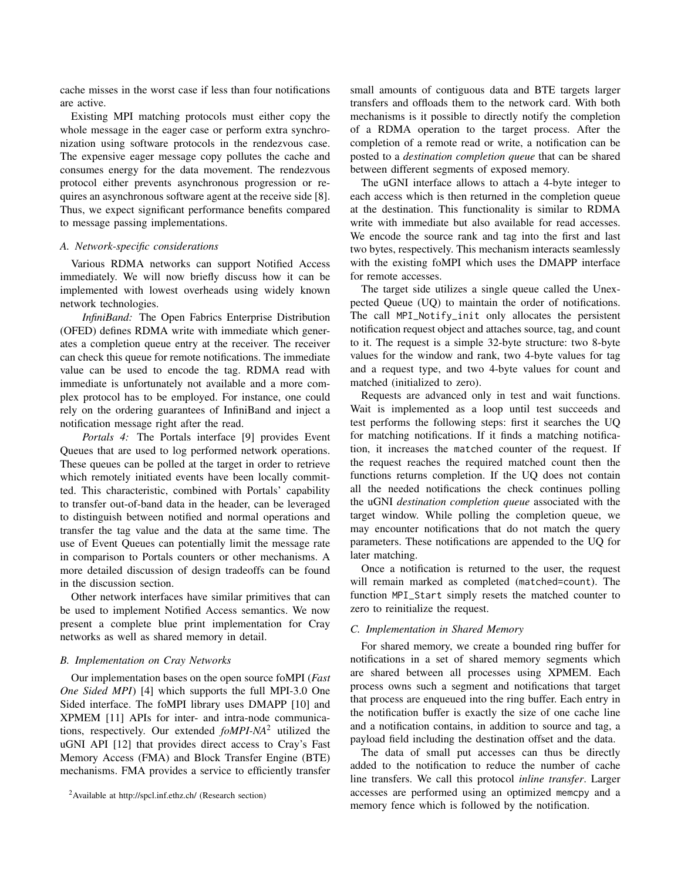cache misses in the worst case if less than four notifications are active.

Existing MPI matching protocols must either copy the whole message in the eager case or perform extra synchronization using software protocols in the rendezvous case. The expensive eager message copy pollutes the cache and consumes energy for the data movement. The rendezvous protocol either prevents asynchronous progression or requires an asynchronous software agent at the receive side [8]. Thus, we expect significant performance benefits compared to message passing implementations.

# *A. Network-specific considerations*

Various RDMA networks can support Notified Access immediately. We will now briefly discuss how it can be implemented with lowest overheads using widely known network technologies.

*InfiniBand:* The Open Fabrics Enterprise Distribution (OFED) defines RDMA write with immediate which generates a completion queue entry at the receiver. The receiver can check this queue for remote notifications. The immediate value can be used to encode the tag. RDMA read with immediate is unfortunately not available and a more complex protocol has to be employed. For instance, one could rely on the ordering guarantees of InfiniBand and inject a notification message right after the read.

*Portals 4:* The Portals interface [9] provides Event Queues that are used to log performed network operations. These queues can be polled at the target in order to retrieve which remotely initiated events have been locally committed. This characteristic, combined with Portals' capability to transfer out-of-band data in the header, can be leveraged to distinguish between notified and normal operations and transfer the tag value and the data at the same time. The use of Event Queues can potentially limit the message rate in comparison to Portals counters or other mechanisms. A more detailed discussion of design tradeoffs can be found in the discussion section.

Other network interfaces have similar primitives that can be used to implement Notified Access semantics. We now present a complete blue print implementation for Cray networks as well as shared memory in detail.

### *B. Implementation on Cray Networks*

Our implementation bases on the open source foMPI (*Fast One Sided MPI*) [4] which supports the full MPI-3.0 One Sided interface. The foMPI library uses DMAPP [10] and XPMEM [11] APIs for inter- and intra-node communications, respectively. Our extended *foMPI-NA*<sup>2</sup> utilized the uGNI API [12] that provides direct access to Cray's Fast Memory Access (FMA) and Block Transfer Engine (BTE) mechanisms. FMA provides a service to efficiently transfer small amounts of contiguous data and BTE targets larger transfers and offloads them to the network card. With both mechanisms is it possible to directly notify the completion of a RDMA operation to the target process. After the completion of a remote read or write, a notification can be posted to a *destination completion queue* that can be shared between different segments of exposed memory.

The uGNI interface allows to attach a 4-byte integer to each access which is then returned in the completion queue at the destination. This functionality is similar to RDMA write with immediate but also available for read accesses. We encode the source rank and tag into the first and last two bytes, respectively. This mechanism interacts seamlessly with the existing foMPI which uses the DMAPP interface for remote accesses.

The target side utilizes a single queue called the Unexpected Queue (UQ) to maintain the order of notifications. The call MPI\_Notify\_init only allocates the persistent notification request object and attaches source, tag, and count to it. The request is a simple 32-byte structure: two 8-byte values for the window and rank, two 4-byte values for tag and a request type, and two 4-byte values for count and matched (initialized to zero).

Requests are advanced only in test and wait functions. Wait is implemented as a loop until test succeeds and test performs the following steps: first it searches the UQ for matching notifications. If it finds a matching notification, it increases the matched counter of the request. If the request reaches the required matched count then the functions returns completion. If the UQ does not contain all the needed notifications the check continues polling the uGNI *destination completion queue* associated with the target window. While polling the completion queue, we may encounter notifications that do not match the query parameters. These notifications are appended to the UQ for later matching.

Once a notification is returned to the user, the request will remain marked as completed (matched=count). The function MPI\_Start simply resets the matched counter to zero to reinitialize the request.

# *C. Implementation in Shared Memory*

For shared memory, we create a bounded ring buffer for notifications in a set of shared memory segments which are shared between all processes using XPMEM. Each process owns such a segment and notifications that target that process are enqueued into the ring buffer. Each entry in the notification buffer is exactly the size of one cache line and a notification contains, in addition to source and tag, a payload field including the destination offset and the data.

The data of small put accesses can thus be directly added to the notification to reduce the number of cache line transfers. We call this protocol *inline transfer*. Larger accesses are performed using an optimized memcpy and a memory fence which is followed by the notification.

<sup>2</sup>Available at http://spcl.inf.ethz.ch/ (Research section)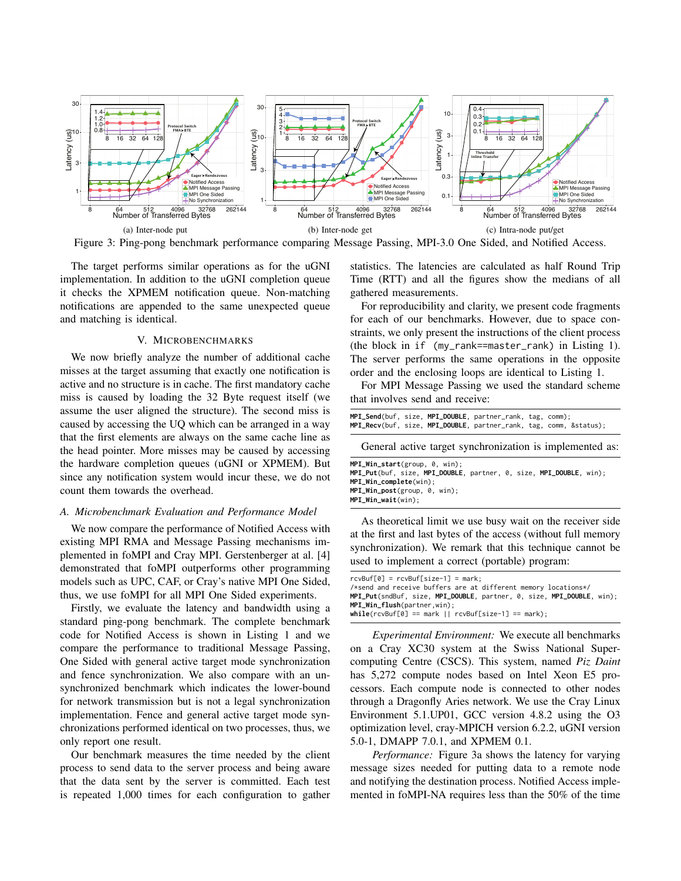

Figure 3: Ping-pong benchmark performance comparing Message Passing, MPI-3.0 One Sided, and Notified Access.

The target performs similar operations as for the uGNI implementation. In addition to the uGNI completion queue it checks the XPMEM notification queue. Non-matching notifications are appended to the same unexpected queue and matching is identical.

#### V. MICROBENCHMARKS

We now briefly analyze the number of additional cache misses at the target assuming that exactly one notification is active and no structure is in cache. The first mandatory cache miss is caused by loading the 32 Byte request itself (we assume the user aligned the structure). The second miss is caused by accessing the UQ which can be arranged in a way that the first elements are always on the same cache line as the head pointer. More misses may be caused by accessing the hardware completion queues (uGNI or XPMEM). But since any notification system would incur these, we do not count them towards the overhead.

# *A. Microbenchmark Evaluation and Performance Model*

We now compare the performance of Notified Access with existing MPI RMA and Message Passing mechanisms implemented in foMPI and Cray MPI. Gerstenberger at al. [4] demonstrated that foMPI outperforms other programming models such as UPC, CAF, or Cray's native MPI One Sided, thus, we use foMPI for all MPI One Sided experiments.

Firstly, we evaluate the latency and bandwidth using a standard ping-pong benchmark. The complete benchmark code for Notified Access is shown in Listing 1 and we compare the performance to traditional Message Passing, One Sided with general active target mode synchronization and fence synchronization. We also compare with an unsynchronized benchmark which indicates the lower-bound for network transmission but is not a legal synchronization implementation. Fence and general active target mode synchronizations performed identical on two processes, thus, we only report one result.

Our benchmark measures the time needed by the client process to send data to the server process and being aware that the data sent by the server is committed. Each test is repeated 1,000 times for each configuration to gather statistics. The latencies are calculated as half Round Trip Time (RTT) and all the figures show the medians of all gathered measurements.

For reproducibility and clarity, we present code fragments for each of our benchmarks. However, due to space constraints, we only present the instructions of the client process (the block in if (my\_rank==master\_rank) in Listing 1). The server performs the same operations in the opposite order and the enclosing loops are identical to Listing 1.

For MPI Message Passing we used the standard scheme that involves send and receive:

| MPI_Send(buf, size, MPI_DOUBLE, partner_rank, tag, comm);<br>MPI_Recv(buf, size, MPI_DOUBLE, partner_rank, tag, comm, &status);                                                           |  |  |  |  |
|-------------------------------------------------------------------------------------------------------------------------------------------------------------------------------------------|--|--|--|--|
| General active target synchronization is implemented as:                                                                                                                                  |  |  |  |  |
| $MPI_Win_start(group, 0, win);$<br>MPI_Put(buf, size, MPI_DOUBLE, partner, 0, size, MPI_DOUBLE, win);<br>MPI_Win_complete(win);<br>$MPI_Win_post(group, 0, win);$<br>$MPI_Win_wait(win);$ |  |  |  |  |

As theoretical limit we use busy wait on the receiver side at the first and last bytes of the access (without full memory synchronization). We remark that this technique cannot be used to implement a correct (portable) program:

| $rcvBuf[0] = rcvBuf[size-1] = mark;$                                  |  |  |  |  |  |
|-----------------------------------------------------------------------|--|--|--|--|--|
| /*send and receive buffers are at different memory locations*/        |  |  |  |  |  |
| MPI_Put(sndBuf, size, MPI_DOUBLE, partner, 0, size, MPI_DOUBLE, win); |  |  |  |  |  |
| MPI Win flush(partner.win):                                           |  |  |  |  |  |
| $while$ (rcvBuf[0] == mark    rcvBuf[size-1] == mark):                |  |  |  |  |  |

*Experimental Environment:* We execute all benchmarks on a Cray XC30 system at the Swiss National Supercomputing Centre (CSCS). This system, named *Piz Daint* has 5,272 compute nodes based on Intel Xeon E5 processors. Each compute node is connected to other nodes through a Dragonfly Aries network. We use the Cray Linux Environment 5.1.UP01, GCC version 4.8.2 using the O3 optimization level, cray-MPICH version 6.2.2, uGNI version 5.0-1, DMAPP 7.0.1, and XPMEM 0.1.

*Performance:* Figure 3a shows the latency for varying message sizes needed for putting data to a remote node and notifying the destination process. Notified Access implemented in foMPI-NA requires less than the 50% of the time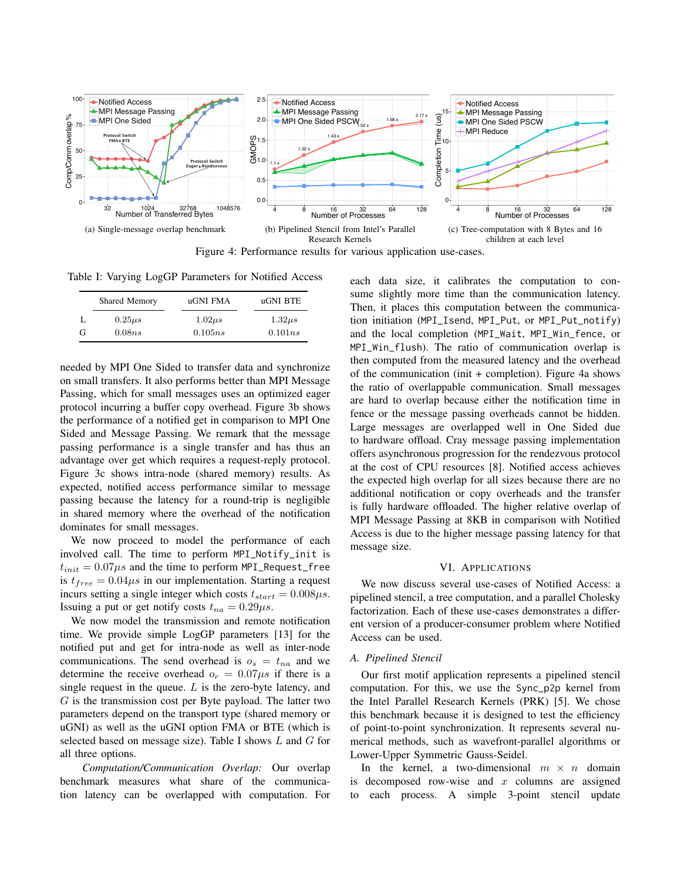

Table I: Varying LogGP Parameters for Notified Access

|   | <b>Shared Memory</b> | uGNI FMA    | uGNI BTE     |
|---|----------------------|-------------|--------------|
| L | $0.25\mu s$          | $1.02\mu s$ | $1.32 \mu s$ |
| G | 0.08ns               | 0.105ns     | 0.101ns      |

needed by MPI One Sided to transfer data and synchronize on small transfers. It also performs better than MPI Message Passing, which for small messages uses an optimized eager protocol incurring a buffer copy overhead. Figure 3b shows the performance of a notified get in comparison to MPI One Sided and Message Passing. We remark that the message passing performance is a single transfer and has thus an advantage over get which requires a request-reply protocol. Figure 3c shows intra-node (shared memory) results. As expected, notified access performance similar to message passing because the latency for a round-trip is negligible in shared memory where the overhead of the notification dominates for small messages.

We now proceed to model the performance of each involved call. The time to perform MPI\_Notify\_init is  $t_{init} = 0.07 \mu s$  and the time to perform MPI\_Request\_free is  $t_{free} = 0.04 \mu s$  in our implementation. Starting a request incurs setting a single integer which costs  $t_{start} = 0.008 \mu s$ . Issuing a put or get notify costs  $t_{na} = 0.29 \mu s$ .

We now model the transmission and remote notification time. We provide simple LogGP parameters [13] for the notified put and get for intra-node as well as inter-node communications. The send overhead is  $o<sub>s</sub> = t<sub>na</sub>$  and we determine the receive overhead  $o_r = 0.07 \mu s$  if there is a single request in the queue. *L* is the zero-byte latency, and *G* is the transmission cost per Byte payload. The latter two parameters depend on the transport type (shared memory or uGNI) as well as the uGNI option FMA or BTE (which is selected based on message size). Table I shows *L* and *G* for all three options.

*Computation/Communication Overlap:* Our overlap benchmark measures what share of the communication latency can be overlapped with computation. For each data size, it calibrates the computation to consume slightly more time than the communication latency. Then, it places this computation between the communication initiation (MPI\_Isend, MPI\_Put, or MPI\_Put\_notify) and the local completion (MPI\_Wait, MPI\_Win\_fence, or MPI\_Win\_flush). The ratio of communication overlap is then computed from the measured latency and the overhead of the communication (init + completion). Figure 4a shows the ratio of overlappable communication. Small messages are hard to overlap because either the notification time in fence or the message passing overheads cannot be hidden. Large messages are overlapped well in One Sided due to hardware offload. Cray message passing implementation offers asynchronous progression for the rendezvous protocol at the cost of CPU resources [8]. Notified access achieves the expected high overlap for all sizes because there are no additional notification or copy overheads and the transfer is fully hardware offloaded. The higher relative overlap of MPI Message Passing at 8KB in comparison with Notified Access is due to the higher message passing latency for that message size.

#### VI. APPLICATIONS

We now discuss several use-cases of Notified Access: a pipelined stencil, a tree computation, and a parallel Cholesky factorization. Each of these use-cases demonstrates a different version of a producer-consumer problem where Notified Access can be used.

# *A. Pipelined Stencil*

Our first motif application represents a pipelined stencil computation. For this, we use the Sync\_p2p kernel from the Intel Parallel Research Kernels (PRK) [5]. We chose this benchmark because it is designed to test the efficiency of point-to-point synchronization. It represents several numerical methods, such as wavefront-parallel algorithms or Lower-Upper Symmetric Gauss-Seidel.

In the kernel, a two-dimensional  $m \times n$  domain is decomposed row-wise and *x* columns are assigned to each process. A simple 3-point stencil update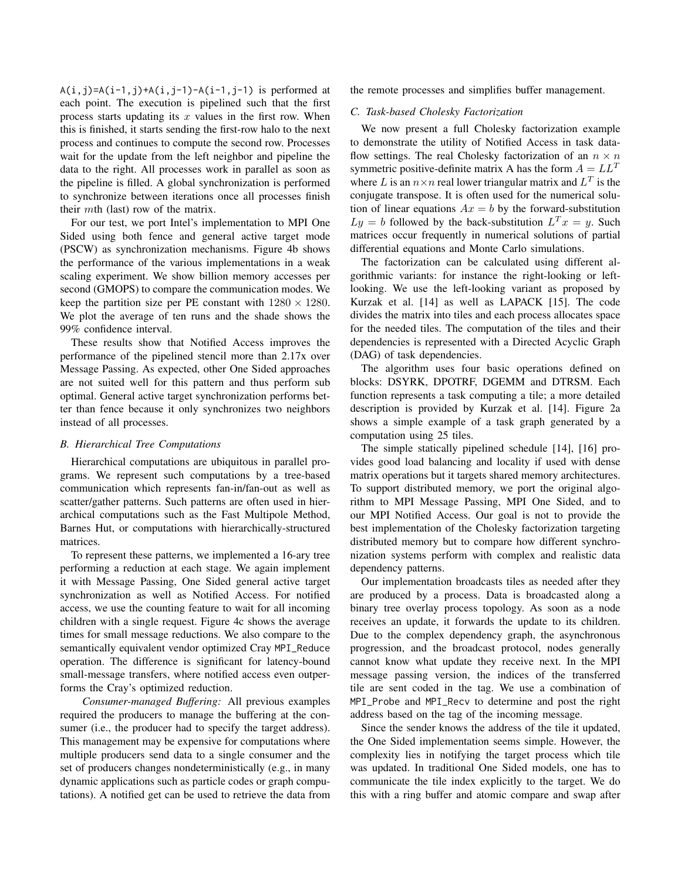$A(i, j)=A(i-1, j)+A(i, j-1)-A(i-1, j-1)$  is performed at each point. The execution is pipelined such that the first process starts updating its *x* values in the first row. When this is finished, it starts sending the first-row halo to the next process and continues to compute the second row. Processes wait for the update from the left neighbor and pipeline the data to the right. All processes work in parallel as soon as the pipeline is filled. A global synchronization is performed to synchronize between iterations once all processes finish their *m*th (last) row of the matrix.

For our test, we port Intel's implementation to MPI One Sided using both fence and general active target mode (PSCW) as synchronization mechanisms. Figure 4b shows the performance of the various implementations in a weak scaling experiment. We show billion memory accesses per second (GMOPS) to compare the communication modes. We keep the partition size per PE constant with  $1280 \times 1280$ . We plot the average of ten runs and the shade shows the 99% confidence interval.

These results show that Notified Access improves the performance of the pipelined stencil more than 2.17x over Message Passing. As expected, other One Sided approaches are not suited well for this pattern and thus perform sub optimal. General active target synchronization performs better than fence because it only synchronizes two neighbors instead of all processes.

### *B. Hierarchical Tree Computations*

Hierarchical computations are ubiquitous in parallel programs. We represent such computations by a tree-based communication which represents fan-in/fan-out as well as scatter/gather patterns. Such patterns are often used in hierarchical computations such as the Fast Multipole Method, Barnes Hut, or computations with hierarchically-structured matrices.

To represent these patterns, we implemented a 16-ary tree performing a reduction at each stage. We again implement it with Message Passing, One Sided general active target synchronization as well as Notified Access. For notified access, we use the counting feature to wait for all incoming children with a single request. Figure 4c shows the average times for small message reductions. We also compare to the semantically equivalent vendor optimized Cray MPI\_Reduce operation. The difference is significant for latency-bound small-message transfers, where notified access even outperforms the Cray's optimized reduction.

*Consumer-managed Buffering:* All previous examples required the producers to manage the buffering at the consumer (i.e., the producer had to specify the target address). This management may be expensive for computations where multiple producers send data to a single consumer and the set of producers changes nondeterministically (e.g., in many dynamic applications such as particle codes or graph computations). A notified get can be used to retrieve the data from the remote processes and simplifies buffer management.

# *C. Task-based Cholesky Factorization*

We now present a full Cholesky factorization example to demonstrate the utility of Notified Access in task dataflow settings. The real Cholesky factorization of an  $n \times n$ symmetric positive-definite matrix A has the form  $A = LL^T$ where *L* is an  $n \times n$  real lower triangular matrix and  $L^T$  is the conjugate transpose. It is often used for the numerical solution of linear equations  $Ax = b$  by the forward-substitution  $Ly = b$  followed by the back-substitution  $L^T x = y$ . Such matrices occur frequently in numerical solutions of partial differential equations and Monte Carlo simulations.

The factorization can be calculated using different algorithmic variants: for instance the right-looking or leftlooking. We use the left-looking variant as proposed by Kurzak et al. [14] as well as LAPACK [15]. The code divides the matrix into tiles and each process allocates space for the needed tiles. The computation of the tiles and their dependencies is represented with a Directed Acyclic Graph (DAG) of task dependencies.

The algorithm uses four basic operations defined on blocks: DSYRK, DPOTRF, DGEMM and DTRSM. Each function represents a task computing a tile; a more detailed description is provided by Kurzak et al. [14]. Figure 2a shows a simple example of a task graph generated by a computation using 25 tiles.

The simple statically pipelined schedule [14], [16] provides good load balancing and locality if used with dense matrix operations but it targets shared memory architectures. To support distributed memory, we port the original algorithm to MPI Message Passing, MPI One Sided, and to our MPI Notified Access. Our goal is not to provide the best implementation of the Cholesky factorization targeting distributed memory but to compare how different synchronization systems perform with complex and realistic data dependency patterns.

Our implementation broadcasts tiles as needed after they are produced by a process. Data is broadcasted along a binary tree overlay process topology. As soon as a node receives an update, it forwards the update to its children. Due to the complex dependency graph, the asynchronous progression, and the broadcast protocol, nodes generally cannot know what update they receive next. In the MPI message passing version, the indices of the transferred tile are sent coded in the tag. We use a combination of MPI\_Probe and MPI\_Recv to determine and post the right address based on the tag of the incoming message.

Since the sender knows the address of the tile it updated, the One Sided implementation seems simple. However, the complexity lies in notifying the target process which tile was updated. In traditional One Sided models, one has to communicate the tile index explicitly to the target. We do this with a ring buffer and atomic compare and swap after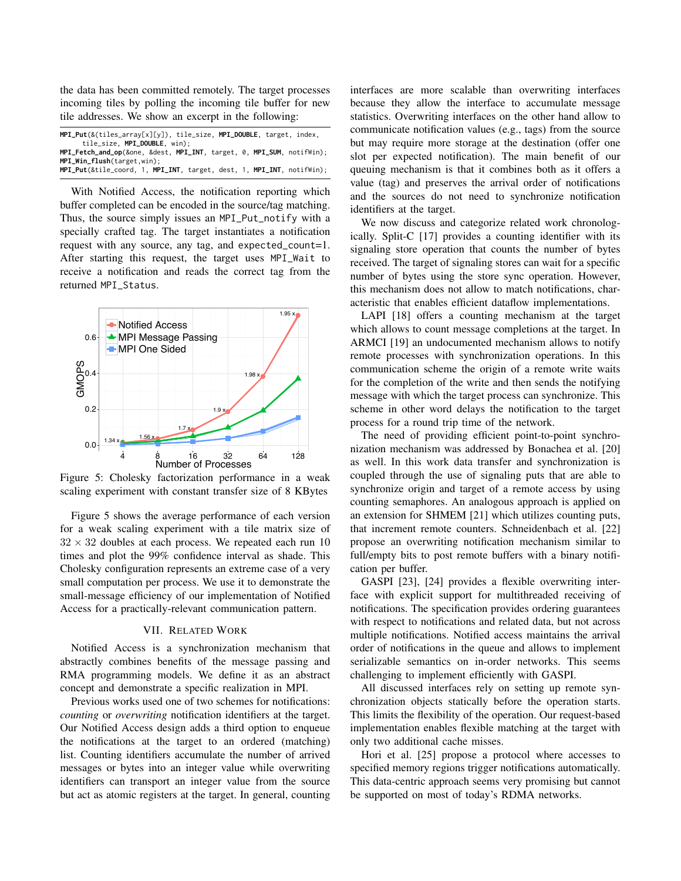the data has been committed remotely. The target processes incoming tiles by polling the incoming tile buffer for new tile addresses. We show an excerpt in the following:

| MPI_Put(&(tiles_array[x][y]), tile_size, MPI_DOUBLE, target, index,   |  |  |  |  |  |
|-----------------------------------------------------------------------|--|--|--|--|--|
| tile_size, MPI_DOUBLE, win);                                          |  |  |  |  |  |
| MPI_Fetch_and_op(&one, &dest, MPI_INT, target, 0, MPI_SUM, notifWin); |  |  |  |  |  |
| MPI_Win_flush(target,win);                                            |  |  |  |  |  |
| MPI_Put(&tile_coord, 1, MPI_INT, target, dest, 1, MPI_INT, notifWin); |  |  |  |  |  |
|                                                                       |  |  |  |  |  |

With Notified Access, the notification reporting which buffer completed can be encoded in the source/tag matching. Thus, the source simply issues an MPI\_Put\_notify with a specially crafted tag. The target instantiates a notification request with any source, any tag, and expected\_count=1. After starting this request, the target uses MPI\_Wait to receive a notification and reads the correct tag from the returned MPI\_Status.



Figure 5: Cholesky factorization performance in a weak scaling experiment with constant transfer size of 8 KBytes

Figure 5 shows the average performance of each version for a weak scaling experiment with a tile matrix size of  $32 \times 32$  doubles at each process. We repeated each run 10 times and plot the 99% confidence interval as shade. This Cholesky configuration represents an extreme case of a very small computation per process. We use it to demonstrate the small-message efficiency of our implementation of Notified Access for a practically-relevant communication pattern.

# VII. RELATED WORK

Notified Access is a synchronization mechanism that abstractly combines benefits of the message passing and RMA programming models. We define it as an abstract concept and demonstrate a specific realization in MPI.

Previous works used one of two schemes for notifications: *counting* or *overwriting* notification identifiers at the target. Our Notified Access design adds a third option to enqueue the notifications at the target to an ordered (matching) list. Counting identifiers accumulate the number of arrived messages or bytes into an integer value while overwriting identifiers can transport an integer value from the source but act as atomic registers at the target. In general, counting interfaces are more scalable than overwriting interfaces because they allow the interface to accumulate message statistics. Overwriting interfaces on the other hand allow to communicate notification values (e.g., tags) from the source but may require more storage at the destination (offer one slot per expected notification). The main benefit of our queuing mechanism is that it combines both as it offers a value (tag) and preserves the arrival order of notifications and the sources do not need to synchronize notification identifiers at the target.

We now discuss and categorize related work chronologically. Split-C [17] provides a counting identifier with its signaling store operation that counts the number of bytes received. The target of signaling stores can wait for a specific number of bytes using the store sync operation. However, this mechanism does not allow to match notifications, characteristic that enables efficient dataflow implementations.

LAPI [18] offers a counting mechanism at the target which allows to count message completions at the target. In ARMCI [19] an undocumented mechanism allows to notify remote processes with synchronization operations. In this communication scheme the origin of a remote write waits for the completion of the write and then sends the notifying message with which the target process can synchronize. This scheme in other word delays the notification to the target process for a round trip time of the network.

The need of providing efficient point-to-point synchronization mechanism was addressed by Bonachea et al. [20] as well. In this work data transfer and synchronization is coupled through the use of signaling puts that are able to synchronize origin and target of a remote access by using counting semaphores. An analogous approach is applied on an extension for SHMEM [21] which utilizes counting puts, that increment remote counters. Schneidenbach et al. [22] propose an overwriting notification mechanism similar to full/empty bits to post remote buffers with a binary notification per buffer.

GASPI [23], [24] provides a flexible overwriting interface with explicit support for multithreaded receiving of notifications. The specification provides ordering guarantees with respect to notifications and related data, but not across multiple notifications. Notified access maintains the arrival order of notifications in the queue and allows to implement serializable semantics on in-order networks. This seems challenging to implement efficiently with GASPI.

All discussed interfaces rely on setting up remote synchronization objects statically before the operation starts. This limits the flexibility of the operation. Our request-based implementation enables flexible matching at the target with only two additional cache misses.

Hori et al. [25] propose a protocol where accesses to specified memory regions trigger notifications automatically. This data-centric approach seems very promising but cannot be supported on most of today's RDMA networks.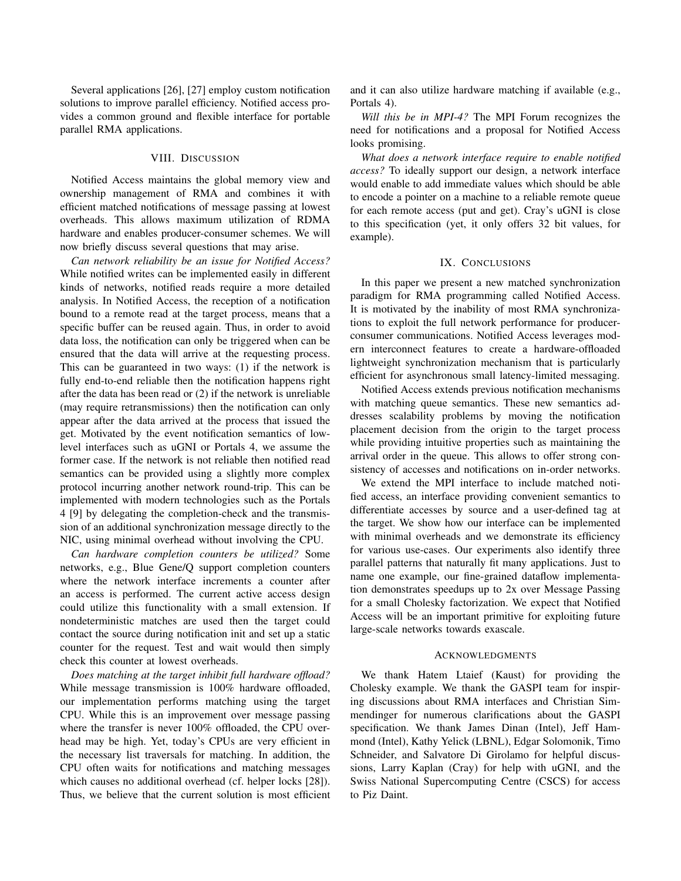Several applications [26], [27] employ custom notification solutions to improve parallel efficiency. Notified access provides a common ground and flexible interface for portable parallel RMA applications.

# VIII. DISCUSSION

Notified Access maintains the global memory view and ownership management of RMA and combines it with efficient matched notifications of message passing at lowest overheads. This allows maximum utilization of RDMA hardware and enables producer-consumer schemes. We will now briefly discuss several questions that may arise.

*Can network reliability be an issue for Notified Access?* While notified writes can be implemented easily in different kinds of networks, notified reads require a more detailed analysis. In Notified Access, the reception of a notification bound to a remote read at the target process, means that a specific buffer can be reused again. Thus, in order to avoid data loss, the notification can only be triggered when can be ensured that the data will arrive at the requesting process. This can be guaranteed in two ways: (1) if the network is fully end-to-end reliable then the notification happens right after the data has been read or (2) if the network is unreliable (may require retransmissions) then the notification can only appear after the data arrived at the process that issued the get. Motivated by the event notification semantics of lowlevel interfaces such as uGNI or Portals 4, we assume the former case. If the network is not reliable then notified read semantics can be provided using a slightly more complex protocol incurring another network round-trip. This can be implemented with modern technologies such as the Portals 4 [9] by delegating the completion-check and the transmission of an additional synchronization message directly to the NIC, using minimal overhead without involving the CPU.

*Can hardware completion counters be utilized?* Some networks, e.g., Blue Gene/Q support completion counters where the network interface increments a counter after an access is performed. The current active access design could utilize this functionality with a small extension. If nondeterministic matches are used then the target could contact the source during notification init and set up a static counter for the request. Test and wait would then simply check this counter at lowest overheads.

*Does matching at the target inhibit full hardware offload?* While message transmission is 100% hardware offloaded, our implementation performs matching using the target CPU. While this is an improvement over message passing where the transfer is never 100% offloaded, the CPU overhead may be high. Yet, today's CPUs are very efficient in the necessary list traversals for matching. In addition, the CPU often waits for notifications and matching messages which causes no additional overhead (cf. helper locks [28]). Thus, we believe that the current solution is most efficient and it can also utilize hardware matching if available (e.g., Portals 4).

*Will this be in MPI-4?* The MPI Forum recognizes the need for notifications and a proposal for Notified Access looks promising.

*What does a network interface require to enable notified access?* To ideally support our design, a network interface would enable to add immediate values which should be able to encode a pointer on a machine to a reliable remote queue for each remote access (put and get). Cray's uGNI is close to this specification (yet, it only offers 32 bit values, for example).

# IX. CONCLUSIONS

In this paper we present a new matched synchronization paradigm for RMA programming called Notified Access. It is motivated by the inability of most RMA synchronizations to exploit the full network performance for producerconsumer communications. Notified Access leverages modern interconnect features to create a hardware-offloaded lightweight synchronization mechanism that is particularly efficient for asynchronous small latency-limited messaging.

Notified Access extends previous notification mechanisms with matching queue semantics. These new semantics addresses scalability problems by moving the notification placement decision from the origin to the target process while providing intuitive properties such as maintaining the arrival order in the queue. This allows to offer strong consistency of accesses and notifications on in-order networks.

We extend the MPI interface to include matched notified access, an interface providing convenient semantics to differentiate accesses by source and a user-defined tag at the target. We show how our interface can be implemented with minimal overheads and we demonstrate its efficiency for various use-cases. Our experiments also identify three parallel patterns that naturally fit many applications. Just to name one example, our fine-grained dataflow implementation demonstrates speedups up to 2x over Message Passing for a small Cholesky factorization. We expect that Notified Access will be an important primitive for exploiting future large-scale networks towards exascale.

# ACKNOWLEDGMENTS

We thank Hatem Ltaief (Kaust) for providing the Cholesky example. We thank the GASPI team for inspiring discussions about RMA interfaces and Christian Simmendinger for numerous clarifications about the GASPI specification. We thank James Dinan (Intel), Jeff Hammond (Intel), Kathy Yelick (LBNL), Edgar Solomonik, Timo Schneider, and Salvatore Di Girolamo for helpful discussions, Larry Kaplan (Cray) for help with uGNI, and the Swiss National Supercomputing Centre (CSCS) for access to Piz Daint.